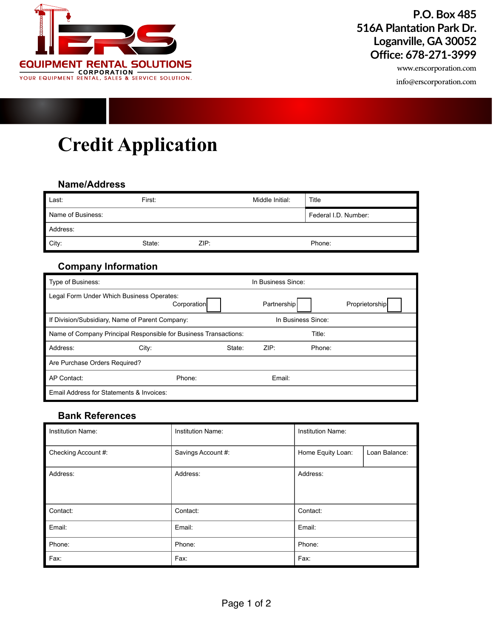

## **P.O. Box 485 516A Plantation Park Dr. Loganville, GA 30052 Office: 678-271-3999**

www.erscorporation.com

info@erscorporation.com

# **Credit Application**

#### **Name/Address**

| Last:             | First: |      | Middle Initial: | Title                |  |
|-------------------|--------|------|-----------------|----------------------|--|
| Name of Business: |        |      |                 | Federal I.D. Number: |  |
| Address:          |        |      |                 |                      |  |
| City:             | State: | ZIP: |                 | Phone:               |  |

#### **Company Information**

| Type of Business:                                                |             |                    | In Business Since: |        |                |
|------------------------------------------------------------------|-------------|--------------------|--------------------|--------|----------------|
| Legal Form Under Which Business Operates:                        | Corporation |                    | Partnership        |        | Proprietorship |
| If Division/Subsidiary, Name of Parent Company:                  |             | In Business Since: |                    |        |                |
| Name of Company Principal Responsible for Business Transactions: |             |                    | Title:             |        |                |
| Address:                                                         | City:       | State:             | ZIP:               | Phone: |                |
| Are Purchase Orders Required?                                    |             |                    |                    |        |                |
| AP Contact:                                                      | Phone:      |                    | Email:             |        |                |
| Email Address for Statements & Invoices:                         |             |                    |                    |        |                |

### **Bank References**

| <b>Institution Name:</b> | <b>Institution Name:</b> | <b>Institution Name:</b>           |  |
|--------------------------|--------------------------|------------------------------------|--|
| Checking Account #:      | Savings Account #:       | Home Equity Loan:<br>Loan Balance: |  |
| Address:                 | Address:                 | Address:                           |  |
| Contact:                 | Contact:                 | Contact:                           |  |
| Email:                   | Email:                   | Email:                             |  |
| Phone:                   | Phone:                   | Phone:                             |  |
| Fax:                     | Fax:                     | Fax:                               |  |